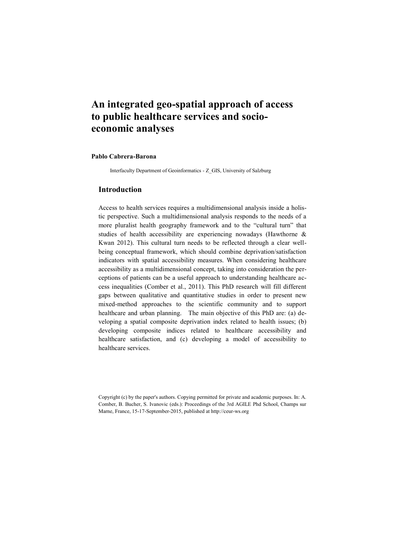# **An integrated geo-spatial approach of access to public healthcare services and socioeconomic analyses**

### **Pablo Cabrera-Barona**

Interfaculty Department of Geoinformatics - Z\_GIS, University of Salzburg

#### **Introduction**

Access to health services requires a multidimensional analysis inside a holistic perspective. Such a multidimensional analysis responds to the needs of a more pluralist health geography framework and to the "cultural turn" that studies of health accessibility are experiencing nowadays (Hawthorne & Kwan 2012). This cultural turn needs to be reflected through a clear wellbeing conceptual framework, which should combine deprivation/satisfaction indicators with spatial accessibility measures. When considering healthcare accessibility as a multidimensional concept, taking into consideration the perceptions of patients can be a useful approach to understanding healthcare access inequalities (Comber et al., 2011). This PhD research will fill different gaps between qualitative and quantitative studies in order to present new mixed-method approaches to the scientific community and to support healthcare and urban planning. The main objective of this PhD are: (a) developing a spatial composite deprivation index related to health issues; (b) developing composite indices related to healthcare accessibility and healthcare satisfaction, and (c) developing a model of accessibility to healthcare services.

Copyright (c) by the paper's authors. Copying permitted for private and academic purposes. In: A. Comber, B. Bucher, S. Ivanovic (eds.): Proceedings of the 3rd AGILE Phd School, Champs sur Marne, France, 15-17-September-2015, published at http://ceur-ws.org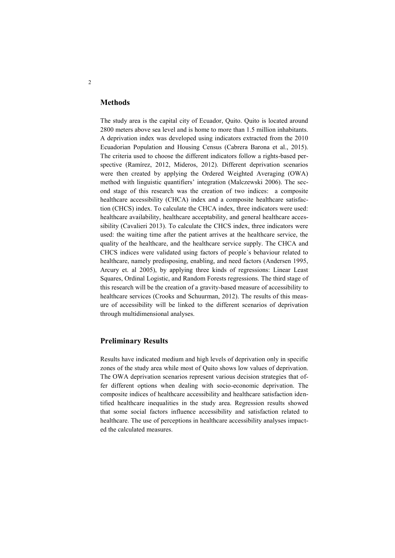#### **Methods**

The study area is the capital city of Ecuador, Quito. Quito is located around 2800 meters above sea level and is home to more than 1.5 million inhabitants. A deprivation index was developed using indicators extracted from the 2010 Ecuadorian Population and Housing Census (Cabrera Barona et al., 2015). The criteria used to choose the different indicators follow a rights-based perspective (Ramírez, 2012, Mideros, 2012). Different deprivation scenarios were then created by applying the Ordered Weighted Averaging (OWA) method with linguistic quantifiers' integration (Malczewski 2006). The second stage of this research was the creation of two indices: a composite healthcare accessibility (CHCA) index and a composite healthcare satisfaction (CHCS) index. To calculate the CHCA index, three indicators were used: healthcare availability, healthcare acceptability, and general healthcare accessibility (Cavalieri 2013). To calculate the CHCS index, three indicators were used: the waiting time after the patient arrives at the healthcare service, the quality of the healthcare, and the healthcare service supply. The CHCA and CHCS indices were validated using factors of people´s behaviour related to healthcare, namely predisposing, enabling, and need factors (Andersen 1995, Arcury et. al 2005), by applying three kinds of regressions: Linear Least Squares, Ordinal Logistic, and Random Forests regressions. The third stage of this research will be the creation of a gravity-based measure of accessibility to healthcare services (Crooks and Schuurman, 2012). The results of this measure of accessibility will be linked to the different scenarios of deprivation through multidimensional analyses.

## **Preliminary Results**

Results have indicated medium and high levels of deprivation only in specific zones of the study area while most of Quito shows low values of deprivation. The OWA deprivation scenarios represent various decision strategies that offer different options when dealing with socio-economic deprivation. The composite indices of healthcare accessibility and healthcare satisfaction identified healthcare inequalities in the study area. Regression results showed that some social factors influence accessibility and satisfaction related to healthcare. The use of perceptions in healthcare accessibility analyses impacted the calculated measures.

2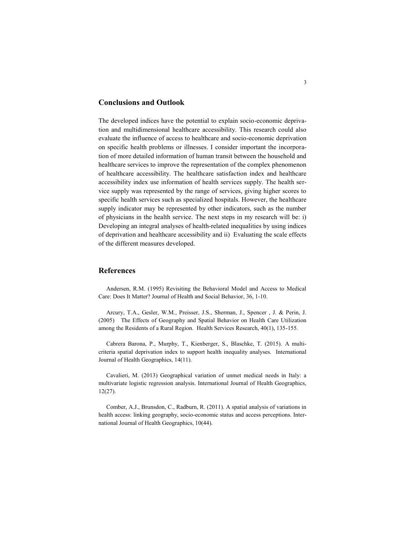#### **Conclusions and Outlook**

The developed indices have the potential to explain socio-economic deprivation and multidimensional healthcare accessibility. This research could also evaluate the influence of access to healthcare and socio-economic deprivation on specific health problems or illnesses. I consider important the incorporation of more detailed information of human transit between the household and healthcare services to improve the representation of the complex phenomenon of healthcare accessibility. The healthcare satisfaction index and healthcare accessibility index use information of health services supply. The health service supply was represented by the range of services, giving higher scores to specific health services such as specialized hospitals. However, the healthcare supply indicator may be represented by other indicators, such as the number of physicians in the health service. The next steps in my research will be: i) Developing an integral analyses of health-related inequalities by using indices of deprivation and healthcare accessibility and ii) Evaluating the scale effects of the different measures developed.

## **References**

Andersen, R.M. (1995) Revisiting the Behavioral Model and Access to Medical Care: Does It Matter? Journal of Health and Social Behavior, 36, 1-10.

Arcury, T.A., Gesler, W.M., Preisser, J.S., Sherman, J., Spencer , J. & Perin, J. (2005) The Effects of Geography and Spatial Behavior on Health Care Utilization among the Residents of a Rural Region. Health Services Research, 40(1), 135-155.

Cabrera Barona, P., Murphy, T., Kienberger, S., Blaschke, T. (2015). A multicriteria spatial deprivation index to support health inequality analyses. International Journal of Health Geographics, 14(11).

Cavalieri, M. (2013) Geographical variation of unmet medical needs in Italy: a multivariate logistic regression analysis. International Journal of Health Geographics, 12(27).

Comber, A.J., Brunsdon, C., Radburn, R. (2011). A spatial analysis of variations in health access: linking geography, socio-economic status and access perceptions. International Journal of Health Geographics, 10(44).